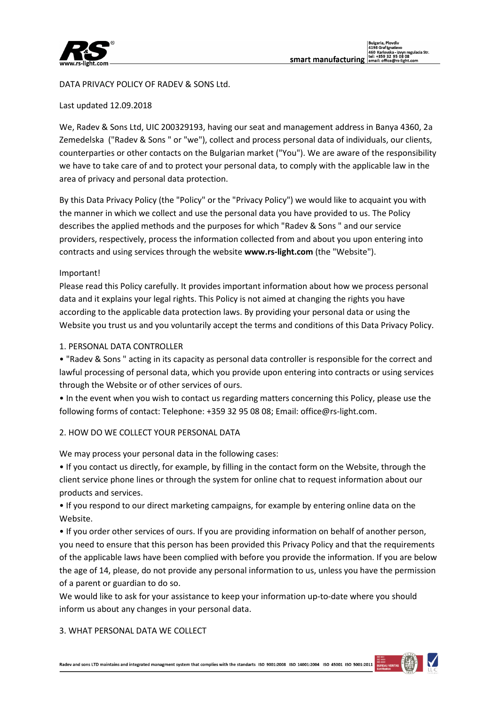

DATA PRIVACY POLICY OF RADEV & SONS Ltd.

Last updated 12.09.2018

We, Radev & Sons Ltd, UIC 200329193, having our seat and management address in Banya 4360, 2a Zemedelska ("Radev & Sons " or "we"), collect and process personal data of individuals, our clients, counterparties or other contacts on the Bulgarian market ("You"). We are aware of the responsibility we have to take care of and to protect your personal data, to comply with the applicable law in the area of privacy and personal data protection.

By this Data Privacy Policy (the "Policy" or the "Privacy Policy") we would like to acquaint you with the manner in which we collect and use the personal data you have provided to us. The Policy describes the applied methods and the purposes for which "Radev & Sons " and our service providers, respectively, process the information collected from and about you upon entering into contracts and using services through the website **www.rs-light.com** (the "Website").

### Important!

Please read this Policy carefully. It provides important information about how we process personal data and it explains your legal rights. This Policy is not aimed at changing the rights you have according to the applicable data protection laws. By providing your personal data or using the Website you trust us and you voluntarily accept the terms and conditions of this Data Privacy Policy.

## 1. PERSONAL DATA CONTROLLER

• "Radev & Sons " acting in its capacity as personal data controller is responsible for the correct and lawful processing of personal data, which you provide upon entering into contracts or using services through the Website or of other services of ours.

• In the event when you wish to contact us regarding matters concerning this Policy, please use the following forms of contact: Telephone: +359 32 95 08 08; Email: office@rs-light.com.

# 2. HOW DO WE COLLECT YOUR PERSONAL DATA

We may process your personal data in the following cases:

• If you contact us directly, for example, by filling in the contact form on the Website, through the client service phone lines or through the system for online chat to request information about our products and services.

• If you respond to our direct marketing campaigns, for example by entering online data on the Website.

• If you order other services of ours. If you are providing information on behalf of another person, you need to ensure that this person has been provided this Privacy Policy and that the requirements of the applicable laws have been complied with before you provide the information. If you are below the age of 14, please, do not provide any personal information to us, unless you have the permission of a parent or guardian to do so.

We would like to ask for your assistance to keep your information up-to-date where you should inform us about any changes in your personal data.

### 3. WHAT PERSONAL DATA WE COLLECT

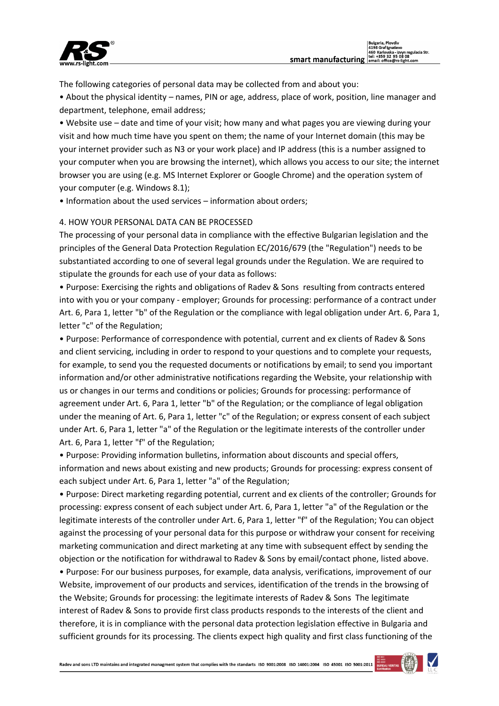

The following categories of personal data may be collected from and about you:

• About the physical identity – names, PIN or age, address, place of work, position, line manager and department, telephone, email address;

• Website use – date and time of your visit; how many and what pages you are viewing during your visit and how much time have you spent on them; the name of your Internet domain (this may be your internet provider such as N3 or your work place) and IP address (this is a number assigned to your computer when you are browsing the internet), which allows you access to our site; the internet browser you are using (e.g. MS Internet Explorer or Google Chrome) and the operation system of your computer (e.g. Windows 8.1);

• Information about the used services – information about orders;

# 4. HOW YOUR PERSONAL DATA CAN BE PROCESSED

The processing of your personal data in compliance with the effective Bulgarian legislation and the principles of the General Data Protection Regulation ЕС/2016/679 (the "Regulation") needs to be substantiated according to one of several legal grounds under the Regulation. We are required to stipulate the grounds for each use of your data as follows:

• Purpose: Exercising the rights and obligations of Radev & Sons resulting from contracts entered into with you or your company - employer; Grounds for processing: performance of a contract under Art. 6, Para 1, letter "b" of the Regulation or the compliance with legal obligation under Art. 6, Para 1, letter "c" of the Regulation;

• Purpose: Performance of correspondence with potential, current and ex clients of Radev & Sons and client servicing, including in order to respond to your questions and to complete your requests, for example, to send you the requested documents or notifications by email; to send you important information and/or other administrative notifications regarding the Website, your relationship with us or changes in our terms and conditions or policies; Grounds for processing: performance of agreement under Art. 6, Para 1, letter "b" of the Regulation; or the compliance of legal obligation under the meaning of Art. 6, Para 1, letter "c" of the Regulation; or express consent of each subject under Art. 6, Para 1, letter "a" of the Regulation or the legitimate interests of the controller under Art. 6, Para 1, letter "f" of the Regulation;

• Purpose: Providing information bulletins, information about discounts and special offers, information and news about existing and new products; Grounds for processing: express consent of each subject under Art. 6, Para 1, letter "a" of the Regulation;

• Purpose: Direct marketing regarding potential, current and ex clients of the controller; Grounds for processing: express consent of each subject under Art. 6, Para 1, letter "a" of the Regulation or the legitimate interests of the controller under Art. 6, Para 1, letter "f" of the Regulation; You can object against the processing of your personal data for this purpose or withdraw your consent for receiving marketing communication and direct marketing at any time with subsequent effect by sending the objection or the notification for withdrawal to Radev & Sons by email/contact phone, listed above.

• Purpose: For our business purposes, for example, data analysis, verifications, improvement of our Website, improvement of our products and services, identification of the trends in the browsing of the Website; Grounds for processing: the legitimate interests of Radev & Sons The legitimate interest of Radev & Sons to provide first class products responds to the interests of the client and therefore, it is in compliance with the personal data protection legislation effective in Bulgaria and sufficient grounds for its processing. The clients expect high quality and first class functioning of the

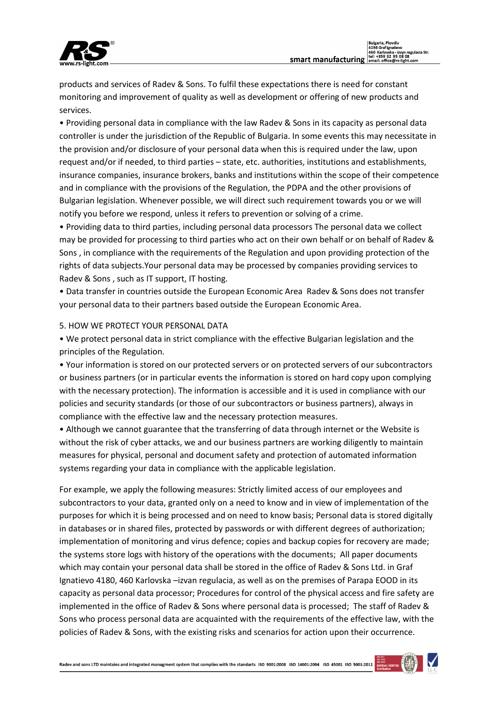

products and services of Radev & Sons. To fulfil these expectations there is need for constant monitoring and improvement of quality as well as development or offering of new products and services.

• Providing personal data in compliance with the law Radev & Sons in its capacity as personal data controller is under the jurisdiction of the Republic of Bulgaria. In some events this may necessitate in the provision and/or disclosure of your personal data when this is required under the law, upon request and/or if needed, to third parties – state, etc. authorities, institutions and establishments, insurance companies, insurance brokers, banks and institutions within the scope of their competence and in compliance with the provisions of the Regulation, the PDPA and the other provisions of Bulgarian legislation. Whenever possible, we will direct such requirement towards you or we will notify you before we respond, unless it refers to prevention or solving of a crime.

• Providing data to third parties, including personal data processors The personal data we collect may be provided for processing to third parties who act on their own behalf or on behalf of Radev & Sons , in compliance with the requirements of the Regulation and upon providing protection of the rights of data subjects.Your personal data may be processed by companies providing services to Radev & Sons , such as IT support, IT hosting.

• Data transfer in countries outside the European Economic Area Radev & Sons does not transfer your personal data to their partners based outside the European Economic Area.

## 5. HOW WE PROTECT YOUR PERSONAL DATA

• We protect personal data in strict compliance with the effective Bulgarian legislation and the principles of the Regulation.

• Your information is stored on our protected servers or on protected servers of our subcontractors or business partners (or in particular events the information is stored on hard copy upon complying with the necessary protection). The information is accessible and it is used in compliance with our policies and security standards (or those of our subcontractors or business partners), always in compliance with the effective law and the necessary protection measures.

• Although we cannot guarantee that the transferring of data through internet or the Website is without the risk of cyber attacks, we and our business partners are working diligently to maintain measures for physical, personal and document safety and protection of automated information systems regarding your data in compliance with the applicable legislation.

For example, we apply the following measures: Strictly limited access of our employees and subcontractors to your data, granted only on a need to know and in view of implementation of the purposes for which it is being processed and on need to know basis; Personal data is stored digitally in databases or in shared files, protected by passwords or with different degrees of authorization; implementation of monitoring and virus defence; copies and backup copies for recovery are made; the systems store logs with history of the operations with the documents; All paper documents which may contain your personal data shall be stored in the office of Radev & Sons Ltd. in Graf Ignatievo 4180, 460 Karlovska –izvan regulacia, as well as on the premises of Parapa EOOD in its capacity as personal data processor; Procedures for control of the physical access and fire safety are implemented in the office of Radev & Sons where personal data is processed; The staff of Radev & Sons who process personal data are acquainted with the requirements of the effective law, with the policies of Radev & Sons, with the existing risks and scenarios for action upon their occurrence.

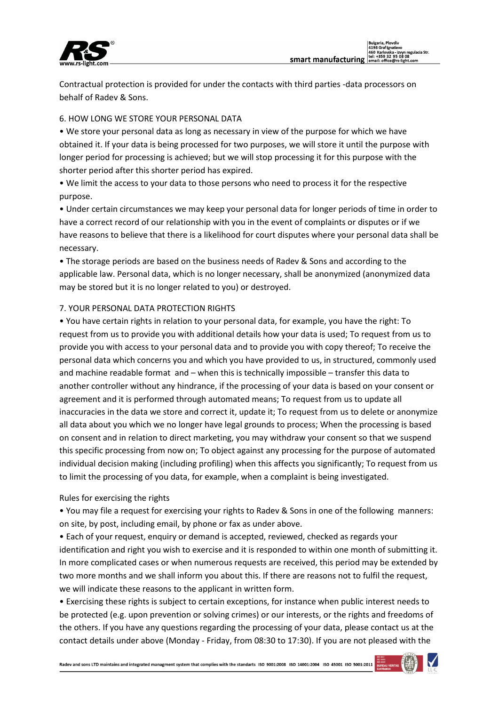

Contractual protection is provided for under the contacts with third parties -data processors on behalf of Radev & Sons.

# 6. HOW LONG WE STORE YOUR PERSONAL DATA

• We store your personal data as long as necessary in view of the purpose for which we have obtained it. If your data is being processed for two purposes, we will store it until the purpose with longer period for processing is achieved; but we will stop processing it for this purpose with the shorter period after this shorter period has expired.

• We limit the access to your data to those persons who need to process it for the respective purpose.

• Under certain circumstances we may keep your personal data for longer periods of time in order to have a correct record of our relationship with you in the event of complaints or disputes or if we have reasons to believe that there is a likelihood for court disputes where your personal data shall be necessary.

• The storage periods are based on the business needs of Radev & Sons and according to the applicable law. Personal data, which is no longer necessary, shall be anonymized (anonymized data may be stored but it is no longer related to you) or destroyed.

# 7. YOUR PERSONAL DATA PROTECTION RIGHTS

• You have certain rights in relation to your personal data, for example, you have the right: To request from us to provide you with additional details how your data is used; To request from us to provide you with access to your personal data and to provide you with copy thereof; To receive the personal data which concerns you and which you have provided to us, in structured, commonly used and machine readable format and – when this is technically impossible – transfer this data to another controller without any hindrance, if the processing of your data is based on your consent or agreement and it is performed through automated means; To request from us to update all inaccuracies in the data we store and correct it, update it; To request from us to delete or anonymize all data about you which we no longer have legal grounds to process; When the processing is based on consent and in relation to direct marketing, you may withdraw your consent so that we suspend this specific processing from now on; To object against any processing for the purpose of automated individual decision making (including profiling) when this affects you significantly; To request from us to limit the processing of you data, for example, when a complaint is being investigated.

# Rules for exercising the rights

• You may file a request for exercising your rights to Radev & Sons in one of the following manners: on site, by post, including email, by phone or fax as under above.

• Each of your request, enquiry or demand is accepted, reviewed, checked as regards your identification and right you wish to exercise and it is responded to within one month of submitting it. In more complicated cases or when numerous requests are received, this period may be extended by two more months and we shall inform you about this. If there are reasons not to fulfil the request, we will indicate these reasons to the applicant in written form.

• Exercising these rights is subject to certain exceptions, for instance when public interest needs to be protected (e.g. upon prevention or solving crimes) or our interests, or the rights and freedoms of the others. If you have any questions regarding the processing of your data, please contact us at the contact details under above (Monday - Friday, from 08:30 to 17:30). If you are not pleased with the